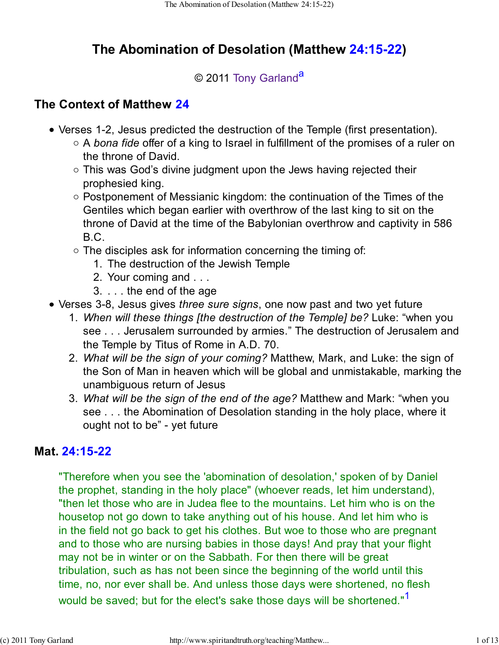# **The Abomination of Desolation (Matthew 24:15-22)**

## © 2011 Tony Garland<sup>a</sup>

# **The Context of Matthew 24**

- Verses 1-2, Jesus predicted the destruction of the Temple (first presentation).
	- A *bona fide* offer of a king to Israel in fulfillment of the promises of a ruler on the throne of David.
	- $\circ$  This was God's divine judgment upon the Jews having rejected their prophesied king.
	- $\circ$  Postponement of Messianic kingdom: the continuation of the Times of the Gentiles which began earlier with overthrow of the last king to sit on the throne of David at the time of the Babylonian overthrow and captivity in 586 B.C.
	- $\circ$  The disciples ask for information concerning the timing of:
		- 1. The destruction of the Jewish Temple
		- 2. Your coming and . . .
		- 3. . . . the end of the age
- Verses 3-8, Jesus gives *three sure signs*, one now past and two yet future
	- *When will these things [the destruction of the Temple] be?* Luke: "when you 1. see . . . Jerusalem surrounded by armies." The destruction of Jerusalem and the Temple by Titus of Rome in A.D. 70.
	- *What will be the sign of your coming?* Matthew, Mark, and Luke: the sign of 2. the Son of Man in heaven which will be global and unmistakable, marking the unambiguous return of Jesus
	- *What will be the sign of the end of the age?* Matthew and Mark: "when you 3. see . . . the Abomination of Desolation standing in the holy place, where it ought not to be" - yet future

# **Mat. 24:15-22**

"Therefore when you see the 'abomination of desolation,' spoken of by Daniel the prophet, standing in the holy place" (whoever reads, let him understand), "then let those who are in Judea flee to the mountains. Let him who is on the housetop not go down to take anything out of his house. And let him who is in the field not go back to get his clothes. But woe to those who are pregnant and to those who are nursing babies in those days! And pray that your flight may not be in winter or on the Sabbath. For then there will be great tribulation, such as has not been since the beginning of the world until this time, no, nor ever shall be. And unless those days were shortened, no flesh would be saved; but for the elect's sake those days will be shortened."<sup>1</sup>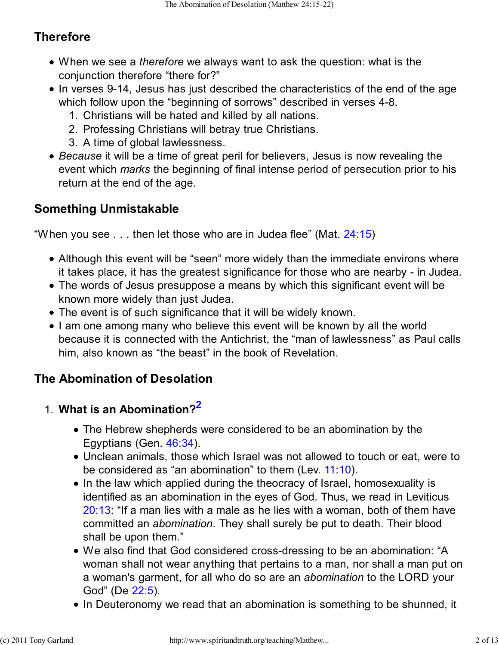# **Therefore**

- When we see a *therefore* we always want to ask the question: what is the conjunction therefore "there for?"
- In verses 9-14, Jesus has just described the characteristics of the end of the age which follow upon the "beginning of sorrows" described in verses 4-8.
	- 1. Christians will be hated and killed by all nations.
	- 2. Professing Christians will betray true Christians.
	- 3. A time of global lawlessness.
- *Because* it will be a time of great peril for believers, Jesus is now revealing the event which *marks* the beginning of final intense period of persecution prior to his return at the end of the age.

# **Something Unmistakable**

"When you see  $\ldots$  then let those who are in Judea flee" (Mat. 24:15)

- Although this event will be "seen" more widely than the immediate environs where it takes place, it has the greatest significance for those who are nearby - in Judea.
- The words of Jesus presuppose a means by which this significant event will be known more widely than just Judea.
- The event is of such significance that it will be widely known.
- I am one among many who believe this event will be known by all the world because it is connected with the Antichrist, the "man of lawlessness" as Paul calls him, also known as "the beast" in the book of Revelation.

# **The Abomination of Desolation**

- **What is an Abomination?<sup>2</sup>** 1.
	- The Hebrew shepherds were considered to be an abomination by the Egyptians (Gen. 46:34).
	- Unclean animals, those which Israel was not allowed to touch or eat, were to be considered as "an abomination" to them (Lev. 11:10).
	- In the law which applied during the theocracy of Israel, homosexuality is identified as an abomination in the eyes of God. Thus, we read in Leviticus 20:13: "If a man lies with a male as he lies with a woman, both of them have committed an *abomination*. They shall surely be put to death. Their blood shall be upon them."
	- We also find that God considered cross-dressing to be an abomination: "A woman shall not wear anything that pertains to a man, nor shall a man put on a woman's garment, for all who do so are an *abomination* to the LORD your God" (De 22:5).
	- In Deuteronomy we read that an abomination is something to be shunned, it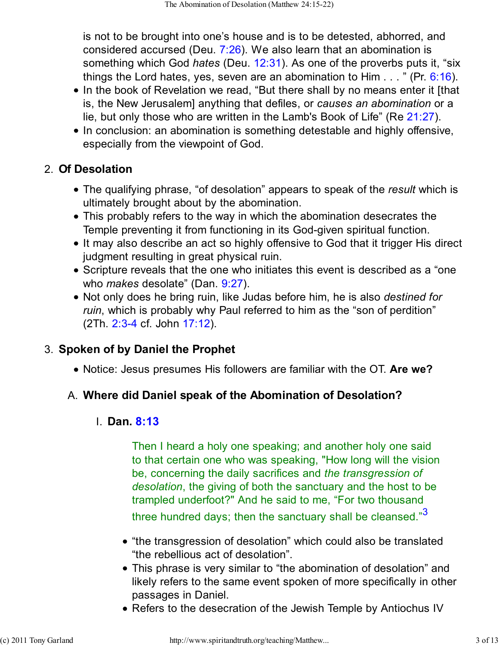is not to be brought into one's house and is to be detested, abhorred, and considered accursed (Deu. 7:26). We also learn that an abomination is something which God *hates* (Deu. 12:31). As one of the proverbs puts it, "six things the Lord hates, yes, seven are an abomination to Him  $\ldots$  " (Pr. 6:16).

- In the book of Revelation we read, "But there shall by no means enter it [that is, the New Jerusalem] anything that defiles, or *causes an abomination* or a lie, but only those who are written in the Lamb's Book of Life" (Re 21:27).
- In conclusion: an abomination is something detestable and highly offensive, especially from the viewpoint of God.

#### **Of Desolation** 2.

- The qualifying phrase, "of desolation" appears to speak of the *result* which is ultimately brought about by the abomination.
- This probably refers to the way in which the abomination desecrates the Temple preventing it from functioning in its God-given spiritual function.
- It may also describe an act so highly offensive to God that it trigger His direct judgment resulting in great physical ruin.
- Scripture reveals that the one who initiates this event is described as a "one who *makes* desolate" (Dan. 9:27).
- Not only does he bring ruin, like Judas before him, he is also *destined for ruin*, which is probably why Paul referred to him as the "son of perdition" (2Th. 2:3-4 cf. John 17:12).

## **Spoken of by Daniel the Prophet** 3.

Notice: Jesus presumes His followers are familiar with the OT. **Are we?**

## A. **Where did Daniel speak of the Abomination of Desolation?**

#### **Dan. 8:13** I.

Then I heard a holy one speaking; and another holy one said to that certain one who was speaking, "How long will the vision be, concerning the daily sacrifices and *the transgression of desolation*, the giving of both the sanctuary and the host to be trampled underfoot?" And he said to me, "For two thousand three hundred days; then the sanctuary shall be cleansed."<sup>3</sup>

- "the transgression of desolation" which could also be translated "the rebellious act of desolation".
- This phrase is very similar to "the abomination of desolation" and likely refers to the same event spoken of more specifically in other passages in Daniel.
- Refers to the desecration of the Jewish Temple by Antiochus IV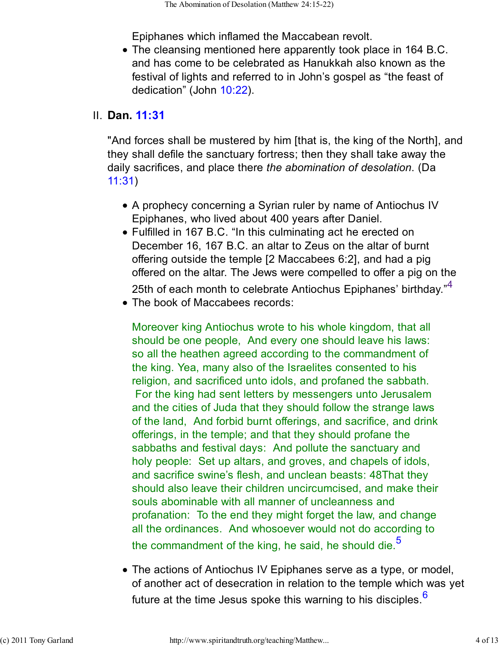Epiphanes which inflamed the Maccabean revolt.

The cleansing mentioned here apparently took place in 164 B.C. and has come to be celebrated as Hanukkah also known as the festival of lights and referred to in John's gospel as "the feast of dedication" (John 10:22).

#### **Dan. 11:31** II.

"And forces shall be mustered by him [that is, the king of the North], and they shall defile the sanctuary fortress; then they shall take away the daily sacrifices, and place there *the abomination of desolation*. (Da 11:31)

- A prophecy concerning a Syrian ruler by name of Antiochus IV Epiphanes, who lived about 400 years after Daniel.
- Fulfilled in 167 B.C. "In this culminating act he erected on December 16, 167 B.C. an altar to Zeus on the altar of burnt offering outside the temple [2 Maccabees 6:2], and had a pig offered on the altar. The Jews were compelled to offer a pig on the 25th of each month to celebrate Antiochus Epiphanes' birthday."<sup>4</sup>
- The book of Maccabees records:

Moreover king Antiochus wrote to his whole kingdom, that all should be one people, And every one should leave his laws: so all the heathen agreed according to the commandment of the king. Yea, many also of the Israelites consented to his religion, and sacrificed unto idols, and profaned the sabbath. For the king had sent letters by messengers unto Jerusalem and the cities of Juda that they should follow the strange laws of the land, And forbid burnt offerings, and sacrifice, and drink offerings, in the temple; and that they should profane the sabbaths and festival days: And pollute the sanctuary and holy people: Set up altars, and groves, and chapels of idols, and sacrifice swine's flesh, and unclean beasts: 48That they should also leave their children uncircumcised, and make their souls abominable with all manner of uncleanness and profanation: To the end they might forget the law, and change all the ordinances. And whosoever would not do according to the commandment of the king, he said, he should die.<sup>5</sup>

The actions of Antiochus IV Epiphanes serve as a type, or model, of another act of desecration in relation to the temple which was yet future at the time Jesus spoke this warning to his disciples.<sup>6</sup>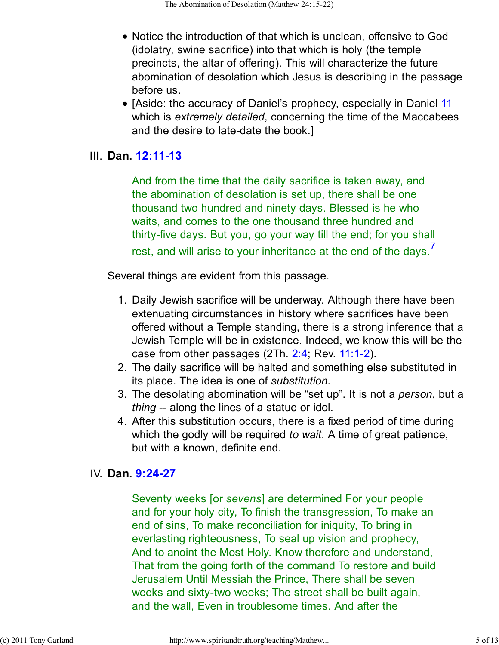- Notice the introduction of that which is unclean, offensive to God (idolatry, swine sacrifice) into that which is holy (the temple precincts, the altar of offering). This will characterize the future abomination of desolation which Jesus is describing in the passage before us.
- [Aside: the accuracy of Daniel's prophecy, especially in Daniel 11 which is *extremely detailed*, concerning the time of the Maccabees and the desire to late-date the book.]

#### **Dan. 12:11-13** III.

And from the time that the daily sacrifice is taken away, and the abomination of desolation is set up, there shall be one thousand two hundred and ninety days. Blessed is he who waits, and comes to the one thousand three hundred and thirty-five days. But you, go your way till the end; for you shall rest, and will arise to your inheritance at the end of the days.<sup>7</sup>

Several things are evident from this passage.

- 1. Daily Jewish sacrifice will be underway. Although there have been extenuating circumstances in history where sacrifices have been offered without a Temple standing, there is a strong inference that a Jewish Temple will be in existence. Indeed, we know this will be the case from other passages (2Th. 2:4; Rev. 11:1-2).
- The daily sacrifice will be halted and something else substituted in 2. its place. The idea is one of *substitution*.
- 3. The desolating abomination will be "set up". It is not a *person*, but a *thing* -- along the lines of a statue or idol.
- After this substitution occurs, there is a fixed period of time during 4. which the godly will be required *to wait*. A time of great patience, but with a known, definite end.

#### **Dan. 9:24-27** IV.

Seventy weeks [or *sevens*] are determined For your people and for your holy city, To finish the transgression, To make an end of sins, To make reconciliation for iniquity, To bring in everlasting righteousness, To seal up vision and prophecy, And to anoint the Most Holy. Know therefore and understand, That from the going forth of the command To restore and build Jerusalem Until Messiah the Prince, There shall be seven weeks and sixty-two weeks; The street shall be built again, and the wall, Even in troublesome times. And after the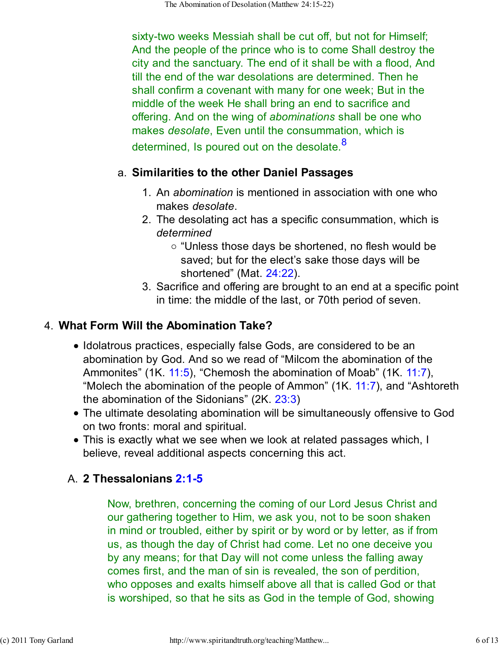sixty-two weeks Messiah shall be cut off, but not for Himself; And the people of the prince who is to come Shall destroy the city and the sanctuary. The end of it shall be with a flood, And till the end of the war desolations are determined. Then he shall confirm a covenant with many for one week; But in the middle of the week He shall bring an end to sacrifice and offering. And on the wing of *abominations* shall be one who makes *desolate*, Even until the consummation, which is determined, Is poured out on the desolate.<sup>8</sup>

#### **Similarities to the other Daniel Passages** a.

- 1. An *abomination* is mentioned in association with one who makes *desolate*.
- 2. The desolating act has a specific consummation, which is *determined*
	- $\circ$  "Unless those days be shortened, no flesh would be saved; but for the elect's sake those days will be shortened" (Mat. 24:22).
- Sacrifice and offering are brought to an end at a specific point 3. in time: the middle of the last, or 70th period of seven.

## **What Form Will the Abomination Take?** 4.

- Idolatrous practices, especially false Gods, are considered to be an abomination by God. And so we read of "Milcom the abomination of the Ammonites" (1K. 11:5), "Chemosh the abomination of Moab" (1K. 11:7), "Molech the abomination of the people of Ammon" (1K. 11:7), and "Ashtoreth the abomination of the Sidonians" (2K. 23:3)
- The ultimate desolating abomination will be simultaneously offensive to God on two fronts: moral and spiritual.
- This is exactly what we see when we look at related passages which, I believe, reveal additional aspects concerning this act.

#### **2 Thessalonians 2:1-5** A.

Now, brethren, concerning the coming of our Lord Jesus Christ and our gathering together to Him, we ask you, not to be soon shaken in mind or troubled, either by spirit or by word or by letter, as if from us, as though the day of Christ had come. Let no one deceive you by any means; for that Day will not come unless the falling away comes first, and the man of sin is revealed, the son of perdition, who opposes and exalts himself above all that is called God or that is worshiped, so that he sits as God in the temple of God, showing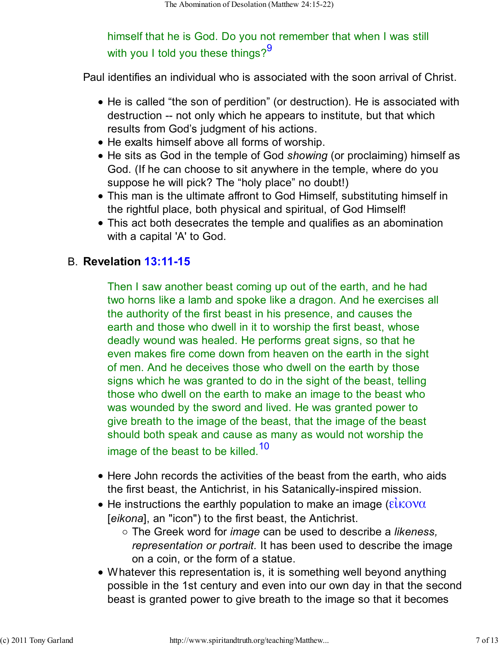himself that he is God. Do you not remember that when I was still with you I told you these things? $9^9$ 

Paul identifies an individual who is associated with the soon arrival of Christ.

- He is called "the son of perdition" (or destruction). He is associated with destruction -- not only which he appears to institute, but that which results from God's judgment of his actions.
- He exalts himself above all forms of worship.
- He sits as God in the temple of God *showing* (or proclaiming) himself as God. (If he can choose to sit anywhere in the temple, where do you suppose he will pick? The "holy place" no doubt!)
- This man is the ultimate affront to God Himself, substituting himself in the rightful place, both physical and spiritual, of God Himself!
- This act both desecrates the temple and qualifies as an abomination with a capital 'A' to God.

#### **Revelation 13:11-15** B.

Then I saw another beast coming up out of the earth, and he had two horns like a lamb and spoke like a dragon. And he exercises all the authority of the first beast in his presence, and causes the earth and those who dwell in it to worship the first beast, whose deadly wound was healed. He performs great signs, so that he even makes fire come down from heaven on the earth in the sight of men. And he deceives those who dwell on the earth by those signs which he was granted to do in the sight of the beast, telling those who dwell on the earth to make an image to the beast who was wounded by the sword and lived. He was granted power to give breath to the image of the beast, that the image of the beast should both speak and cause as many as would not worship the image of the beast to be killed.<sup>10</sup>

- Here John records the activities of the beast from the earth, who aids the first beast, the Antichrist, in his Satanically-inspired mission.
- He instructions the earthly population to make an image ( $\epsilon\dot{\mathbf{i}}$ κονα [*eikona*], an "icon") to the first beast, the Antichrist.
	- The Greek word for *image* can be used to describe a *likeness, representation or portrait.* It has been used to describe the image on a coin, or the form of a statue.
- Whatever this representation is, it is something well beyond anything possible in the 1st century and even into our own day in that the second beast is granted power to give breath to the image so that it becomes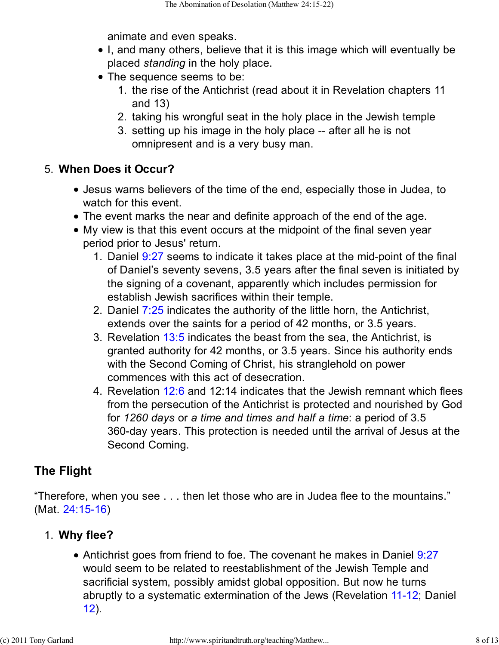animate and even speaks.

- I, and many others, believe that it is this image which will eventually be placed *standing* in the holy place.
- The sequence seems to be:
	- 1. the rise of the Antichrist (read about it in Revelation chapters 11 and 13)
	- 2. taking his wrongful seat in the holy place in the Jewish temple
	- 3. setting up his image in the holy place -- after all he is not omnipresent and is a very busy man.

#### **When Does it Occur?** 5.

- Jesus warns believers of the time of the end, especially those in Judea, to watch for this event.
- The event marks the near and definite approach of the end of the age.
- My view is that this event occurs at the midpoint of the final seven year period prior to Jesus' return.
	- 1. Daniel  $9:27$  seems to indicate it takes place at the mid-point of the final of Daniel's seventy sevens, 3.5 years after the final seven is initiated by the signing of a covenant, apparently which includes permission for establish Jewish sacrifices within their temple.
	- 2. Daniel 7:25 indicates the authority of the little horn, the Antichrist, extends over the saints for a period of 42 months, or 3.5 years.
	- 3. Revelation 13:5 indicates the beast from the sea, the Antichrist, is granted authority for 42 months, or 3.5 years. Since his authority ends with the Second Coming of Christ, his stranglehold on power commences with this act of desecration.
	- 4. Revelation 12:6 and 12:14 indicates that the Jewish remnant which flees from the persecution of the Antichrist is protected and nourished by God for *1260 days* or *a time and times and half a time*: a period of 3.5 360-day years. This protection is needed until the arrival of Jesus at the Second Coming.

# **The Flight**

"Therefore, when you see . . . then let those who are in Judea flee to the mountains." (Mat. 24:15-16)

## **Why flee?** 1.

• Antichrist goes from friend to foe. The covenant he makes in Daniel 9:27 would seem to be related to reestablishment of the Jewish Temple and sacrificial system, possibly amidst global opposition. But now he turns abruptly to a systematic extermination of the Jews (Revelation 11-12; Daniel 12).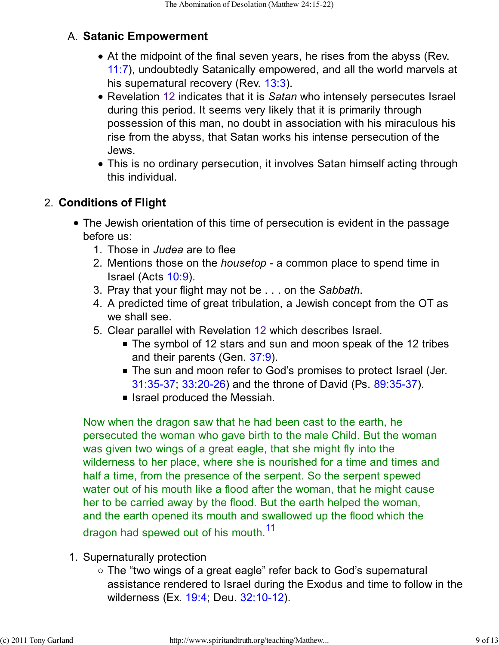## **Satanic Empowerment** A.

- At the midpoint of the final seven years, he rises from the abyss (Rev. 11:7), undoubtedly Satanically empowered, and all the world marvels at his supernatural recovery (Rev. 13:3).
- Revelation 12 indicates that it is *Satan* who intensely persecutes Israel during this period. It seems very likely that it is primarily through possession of this man, no doubt in association with his miraculous his rise from the abyss, that Satan works his intense persecution of the Jews.
- This is no ordinary persecution, it involves Satan himself acting through this individual.

#### **Conditions of Flight** 2.

- The Jewish orientation of this time of persecution is evident in the passage before us:
	- 1. Those in *Judea* are to flee
	- Mentions those on the *housetop* a common place to spend time in 2. Israel (Acts 10:9).
	- 3. Pray that your flight may not be . . . on the *Sabbath*.
	- A predicted time of great tribulation, a Jewish concept from the OT as 4. we shall see.
	- 5. Clear parallel with Revelation 12 which describes Israel.
		- The symbol of 12 stars and sun and moon speak of the 12 tribes and their parents (Gen. 37:9).
		- **The sun and moon refer to God's promises to protect Israel (Jer.** 31:35-37; 33:20-26) and the throne of David (Ps. 89:35-37).
		- Israel produced the Messiah.

Now when the dragon saw that he had been cast to the earth, he persecuted the woman who gave birth to the male Child. But the woman was given two wings of a great eagle, that she might fly into the wilderness to her place, where she is nourished for a time and times and half a time, from the presence of the serpent. So the serpent spewed water out of his mouth like a flood after the woman, that he might cause her to be carried away by the flood. But the earth helped the woman, and the earth opened its mouth and swallowed up the flood which the dragon had spewed out of his mouth.<sup>11</sup>

- 1. Supernaturally protection
	- The "two wings of a great eagle" refer back to God's supernatural assistance rendered to Israel during the Exodus and time to follow in the wilderness (Ex. 19:4; Deu. 32:10-12).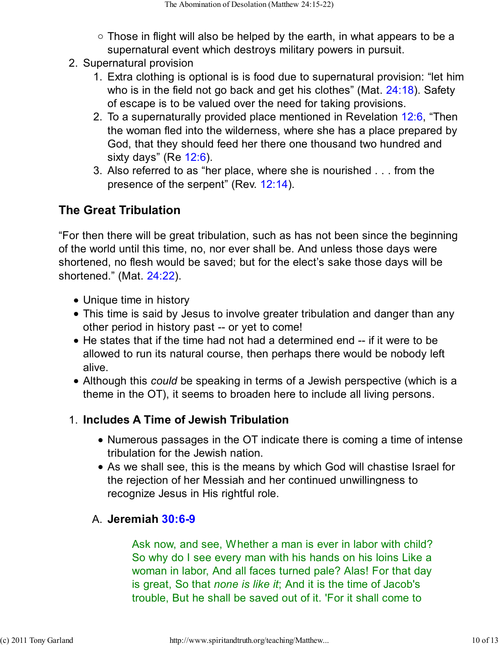- $\circ$  Those in flight will also be helped by the earth, in what appears to be a supernatural event which destroys military powers in pursuit.
- 2. Supernatural provision
	- Extra clothing is optional is is food due to supernatural provision: "let him 1. who is in the field not go back and get his clothes" (Mat. 24:18). Safety of escape is to be valued over the need for taking provisions.
	- 2. To a supernaturally provided place mentioned in Revelation 12:6, "Then the woman fled into the wilderness, where she has a place prepared by God, that they should feed her there one thousand two hundred and sixty days" (Re  $12:6$ ).
	- Also referred to as "her place, where she is nourished . . . from the 3. presence of the serpent" (Rev. 12:14).

## **The Great Tribulation**

"For then there will be great tribulation, such as has not been since the beginning of the world until this time, no, nor ever shall be. And unless those days were shortened, no flesh would be saved; but for the elect's sake those days will be shortened." (Mat. 24:22).

- Unique time in history
- This time is said by Jesus to involve greater tribulation and danger than any other period in history past -- or yet to come!
- He states that if the time had not had a determined end -- if it were to be allowed to run its natural course, then perhaps there would be nobody left alive.
- Although this *could* be speaking in terms of a Jewish perspective (which is a theme in the OT), it seems to broaden here to include all living persons.

#### **Includes A Time of Jewish Tribulation** 1.

- Numerous passages in the OT indicate there is coming a time of intense tribulation for the Jewish nation.
- As we shall see, this is the means by which God will chastise Israel for the rejection of her Messiah and her continued unwillingness to recognize Jesus in His rightful role.

## **Jeremiah 30:6-9** A.

Ask now, and see, Whether a man is ever in labor with child? So why do I see every man with his hands on his loins Like a woman in labor, And all faces turned pale? Alas! For that day is great, So that *none is like it*; And it is the time of Jacob's trouble, But he shall be saved out of it. 'For it shall come to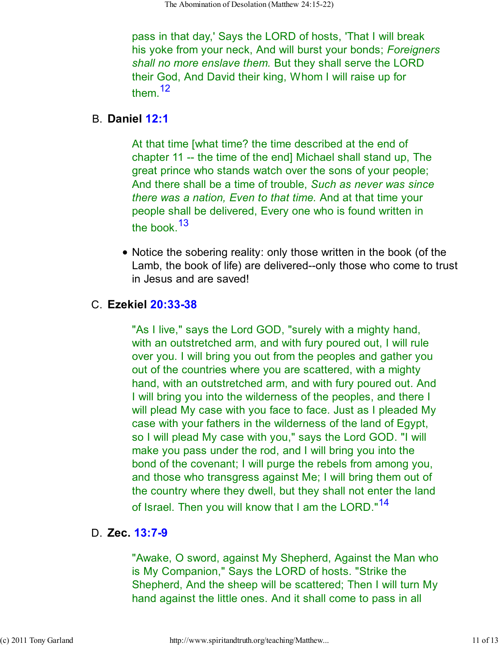pass in that day,' Says the LORD of hosts, 'That I will break his yoke from your neck, And will burst your bonds; *Foreigners shall no more enslave them.* But they shall serve the LORD their God, And David their king, Whom I will raise up for them.<sup>12</sup>

#### **Daniel 12:1** B.

At that time [what time? the time described at the end of chapter 11 -- the time of the end] Michael shall stand up, The great prince who stands watch over the sons of your people; And there shall be a time of trouble, *Such as never was since there was a nation, Even to that time.* And at that time your people shall be delivered, Every one who is found written in the book.<sup>13</sup>

• Notice the sobering reality: only those written in the book (of the Lamb, the book of life) are delivered--only those who come to trust in Jesus and are saved!

#### **Ezekiel 20:33-38** C.

"As I live," says the Lord GOD, "surely with a mighty hand, with an outstretched arm, and with fury poured out, I will rule over you. I will bring you out from the peoples and gather you out of the countries where you are scattered, with a mighty hand, with an outstretched arm, and with fury poured out. And I will bring you into the wilderness of the peoples, and there I will plead My case with you face to face. Just as I pleaded My case with your fathers in the wilderness of the land of Egypt, so I will plead My case with you," says the Lord GOD. "I will make you pass under the rod, and I will bring you into the bond of the covenant; I will purge the rebels from among you, and those who transgress against Me; I will bring them out of the country where they dwell, but they shall not enter the land of Israel. Then you will know that I am the LORD."<sup>14</sup>

#### **Zec. 13:7-9** D.

"Awake, O sword, against My Shepherd, Against the Man who is My Companion," Says the LORD of hosts. "Strike the Shepherd, And the sheep will be scattered; Then I will turn My hand against the little ones. And it shall come to pass in all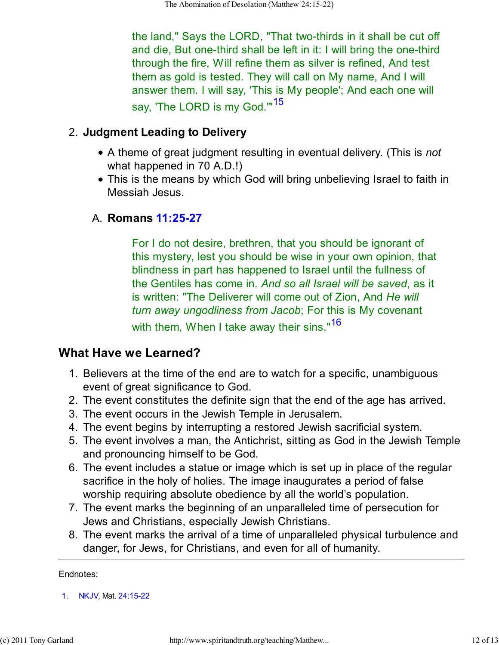the land," Says the LORD, "That two-thirds in it shall be cut off and die, But one-third shall be left in it: I will bring the one-third through the fire, Will refine them as silver is refined, And test them as gold is tested. They will call on My name, And I will answer them. I will say, 'This is My people'; And each one will say, 'The LORD is my God."<sup>15</sup>

#### **Judgment Leading to Delivery** 2.

- A theme of great judgment resulting in eventual delivery. (This is *not* what happened in 70 A.D.!)
- This is the means by which God will bring unbelieving Israel to faith in Messiah Jesus.

#### **Romans 11:25-27** A.

For I do not desire, brethren, that you should be ignorant of this mystery, lest you should be wise in your own opinion, that blindness in part has happened to Israel until the fullness of the Gentiles has come in. *And so all Israel will be saved*, as it is written: "The Deliverer will come out of Zion, And *He will turn away ungodliness from Jacob*; For this is My covenant with them, When I take away their sins."<sup>16</sup>

## **What Have we Learned?**

- 1. Believers at the time of the end are to watch for a specific, unambiguous event of great significance to God.
- 2. The event constitutes the definite sign that the end of the age has arrived.
- 3. The event occurs in the Jewish Temple in Jerusalem.
- 4. The event begins by interrupting a restored Jewish sacrificial system.
- 5. The event involves a man, the Antichrist, sitting as God in the Jewish Temple and pronouncing himself to be God.
- The event includes a statue or image which is set up in place of the regular 6. sacrifice in the holy of holies. The image inaugurates a period of false worship requiring absolute obedience by all the world's population.
- 7. The event marks the beginning of an unparalleled time of persecution for Jews and Christians, especially Jewish Christians.
- The event marks the arrival of a time of unparalleled physical turbulence and 8. danger, for Jews, for Christians, and even for all of humanity.

Endnotes:

1. NKJV, Mat. 24:15-22